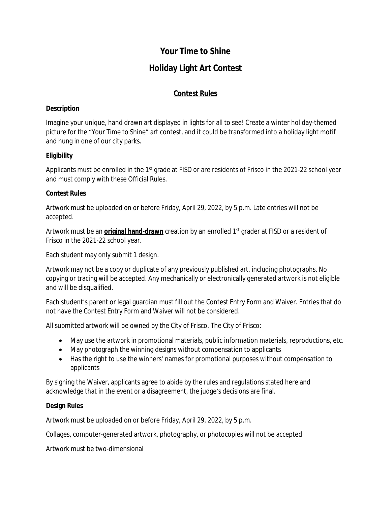# **Your Time to Shine**

# **Holiday Light Art Contest**

## **Contest Rules**

#### **Description**

Imagine your unique, hand drawn art displayed in lights for all to see! Create a winter holiday-themed picture for the "Your Time to Shine" art contest, and it could be transformed into a holiday light motif and hung in one of our city parks.

#### **Eligibility**

Applicants must be enrolled in the 1<sup>st</sup> grade at FISD or are residents of Frisco in the 2021-22 school year and must comply with these Official Rules.

#### **Contest Rules**

Artwork must be uploaded on or before Friday, April 29, 2022, by 5 p.m. Late entries will not be accepted.

Artwork must be an *original hand-drawn* creation by an enrolled 1<sup>st</sup> grader at FISD or a resident of Frisco in the 2021-22 school year.

Each student may only submit 1 design.

Artwork may not be a copy or duplicate of any previously published art, including photographs. No copying or tracing will be accepted. Any mechanically or electronically generated artwork is not eligible and will be disqualified.

Each student's parent or legal guardian must fill out the Contest Entry Form and Waiver. Entries that do not have the Contest Entry Form and Waiver will not be considered.

All submitted artwork will be owned by the City of Frisco. The City of Frisco:

- May use the artwork in promotional materials, public information materials, reproductions, etc.
- May photograph the winning designs without compensation to applicants
- Has the right to use the winners' names for promotional purposes without compensation to applicants

By signing the Waiver, applicants agree to abide by the rules and regulations stated here and acknowledge that in the event or a disagreement, the judge's decisions are final.

#### **Design Rules**

Artwork must be uploaded on or before Friday, April 29, 2022, by 5 p.m.

Collages, computer-generated artwork, photography, or photocopies will not be accepted

Artwork must be two-dimensional